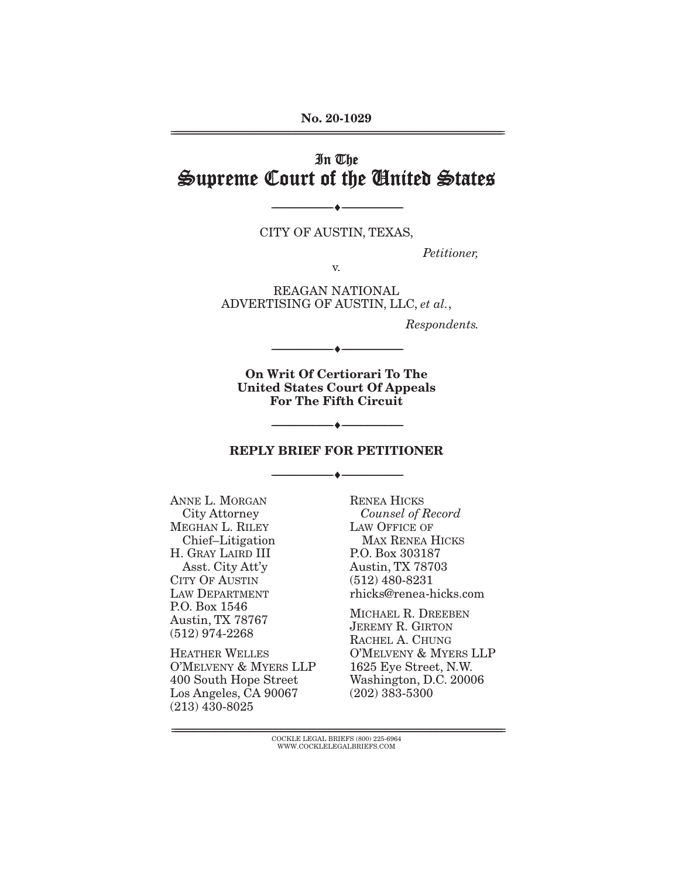**No. 20-1029** 

# In The Supreme Court of the United States

 $\overbrace{\hspace{27mm}}$   $\overbrace{\hspace{27mm}}$ CITY OF AUSTIN, THE AUSTIN, THE AUSTIN, THE AUSTIN, THE AUSTIN, THE AUSTIN, THE AUSTIN, THE AUSTIN, THE AUSTIN,

V.

*Petitioner,* 

ADVERTISING OF AUSTIN, LLC, *et al.*,

*Respondents.* 

**On Writ Of Certiorari To The United States Court Of Appeals For The Fifth Circuit** 

 $\overbrace{\hspace{27mm}}$   $\overbrace{\hspace{27mm}}$ 

# $\overbrace{\hspace{2.5cm}^{\text{}}\,}$ **REPLY BRIEF FOR PETITIONER**

 $\overbrace{\hspace{27mm}}$   $\overbrace{\hspace{27mm}}$ 

ANNE L. MORGAN<br>City Attorney MEGHAN L. RILEY Chief-Litigation H. GRAY LAIRD III Asst. City Att'y CITY OF AUSTIN LAW DEPARTMENT P.O. Box 1546 Austin, TX 78767  $(512)$  974-2268

**HEATHER WELLES** O'MELVENY & MYERS LLP 400 South Hope Street Los Angeles, CA 90067  $(213)$  430-8025  $(225)$  430-8025

RENEA HICKS *Counsel of Record*  LAW OFFICE OF MAX RENEA HICKS P.O. Box 303187 Austin, TX 78703  $(512)$  480-8231 rhicks@renea-hicks.com

MICHAEL R. DREEBEN **JEREMY R. GIRTON** RACHEL A. CHUNG O'MELVENY & MYERS LLP 1625 Eye Street, N.W. Washington, D.C. 20006  $(202)$  383-5300  $(202)$  383-53000

 ${ \rm COCKLE}$  LEGAL BRIEFS (800) 225-6964 WWW.COCKLELEGALBRIEFS.COM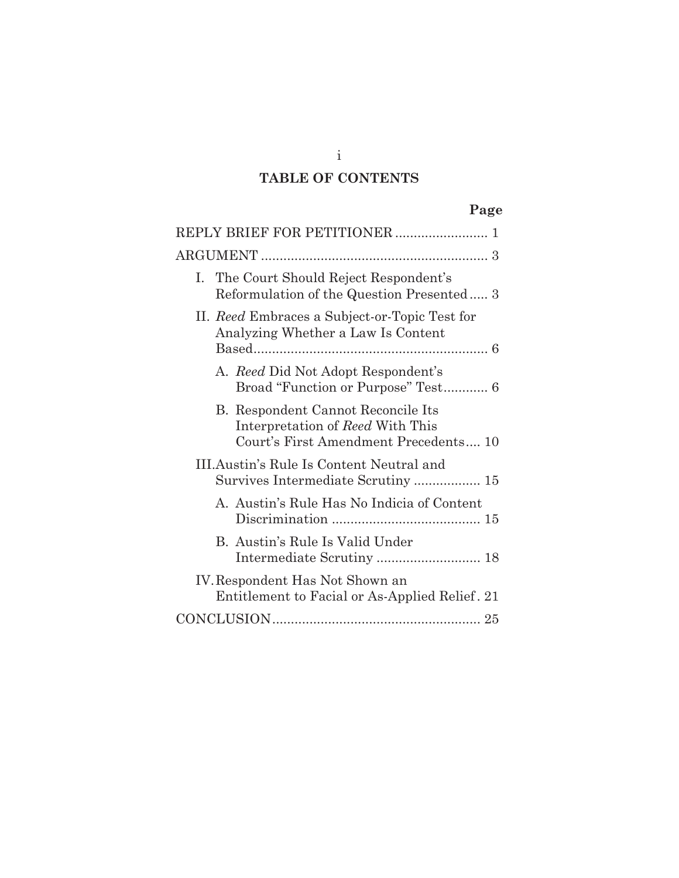# **TABLE OF CONTENTS**

|--|

| I. The Court Should Reject Respondent's<br>Reformulation of the Question Presented 3                            |  |  |  |  |  |
|-----------------------------------------------------------------------------------------------------------------|--|--|--|--|--|
| II. Reed Embraces a Subject-or-Topic Test for<br>Analyzing Whether a Law Is Content                             |  |  |  |  |  |
| A. Reed Did Not Adopt Respondent's<br>Broad "Function or Purpose" Test 6                                        |  |  |  |  |  |
| B. Respondent Cannot Reconcile Its<br>Interpretation of Reed With This<br>Court's First Amendment Precedents 10 |  |  |  |  |  |
| III. Austin's Rule Is Content Neutral and                                                                       |  |  |  |  |  |
| A. Austin's Rule Has No Indicia of Content                                                                      |  |  |  |  |  |
| B. Austin's Rule Is Valid Under<br>Intermediate Scrutiny  18                                                    |  |  |  |  |  |
| IV. Respondent Has Not Shown an<br>Entitlement to Facial or As-Applied Relief. 21                               |  |  |  |  |  |
|                                                                                                                 |  |  |  |  |  |

i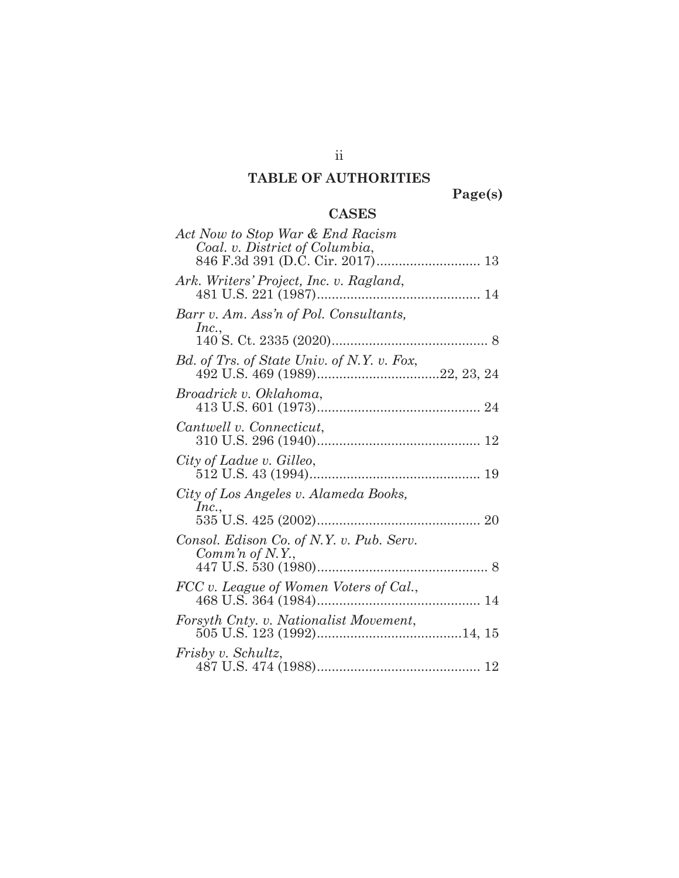# **TABLE OF AUTHORITIES**

**Page(s)** 

## **CASES**

| Act Now to Stop War & End Racism<br>Coal. v. District of Columbia, |
|--------------------------------------------------------------------|
| Ark. Writers' Project, Inc. v. Ragland,                            |
| Barr v. Am. Ass'n of Pol. Consultants,<br>Inc.,                    |
|                                                                    |
| Bd. of Trs. of State Univ. of N.Y. v. Fox,                         |
| Broadrick v. Oklahoma,                                             |
| Cantwell v. Connecticut,                                           |
| City of Ladue v. Gilleo,                                           |
| City of Los Angeles v. Alameda Books,                              |
| Inc.,                                                              |
| Consol. Edison Co. of N.Y. v. Pub. Serv.                           |
| Comm'n of N.Y.,                                                    |
| FCC v. League of Women Voters of Cal.,                             |
| Forsyth Cnty. v. Nationalist Movement,                             |
| Frisby v. Schultz,                                                 |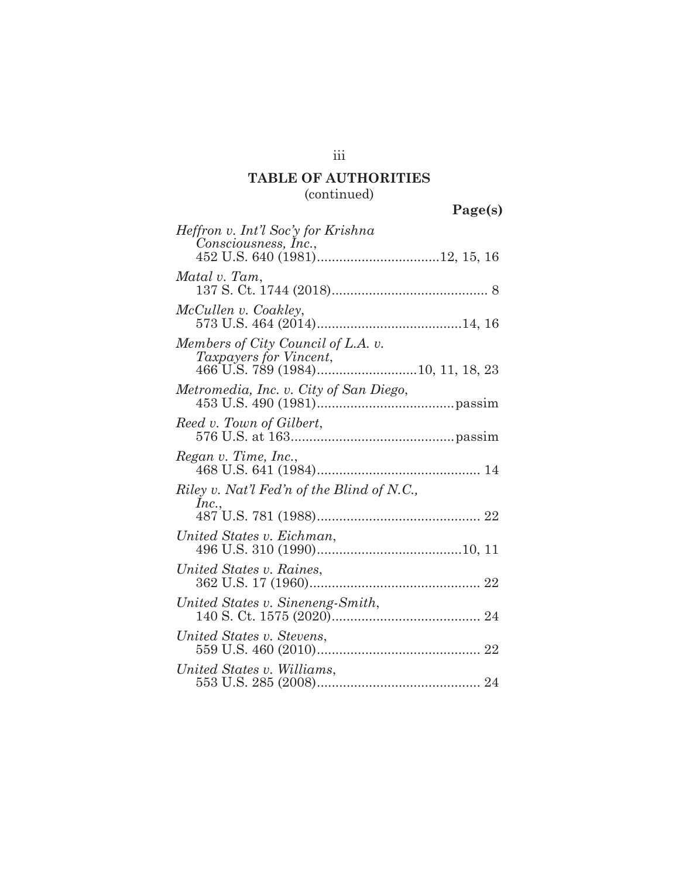## **TABLE OF AUTHORITIES**  (continued)

| ۰Α.<br>О<br>- |
|---------------|
|---------------|

| $1 \text{ age}$                                                                                   |
|---------------------------------------------------------------------------------------------------|
| Heffron v. Int'l Soc'y for Krishna<br>Consciousness, Inc.,                                        |
| Matal v. Tam,                                                                                     |
| McCullen v. Coakley,                                                                              |
| Members of City Council of L.A. v.<br>Taxpayers for Vincent,<br>466 U.S. 789 (1984)10, 11, 18, 23 |
| Metromedia, Inc. v. City of San Diego,                                                            |
| Reed v. Town of Gilbert,                                                                          |
| Regan v. Time, Inc.,                                                                              |
| Riley v. Nat'l Fed'n of the Blind of N.C.,<br>Inc.,                                               |
|                                                                                                   |
| United States v. Eichman,                                                                         |
| United States v. Raines,                                                                          |
| United States v. Sineneng-Smith,                                                                  |
| United States v. Stevens,                                                                         |
| United States v. Williams,                                                                        |

iii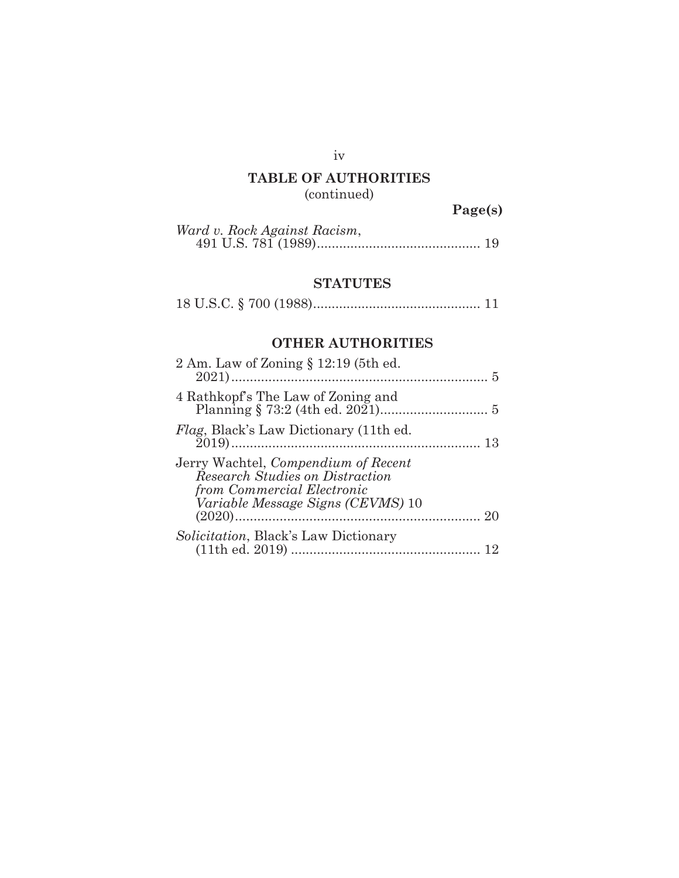## iv

# **TABLE OF AUTHORITIES**

(continued)

**Page(s)** 

| Ward v. Rock Against Racism, |  |
|------------------------------|--|
|                              |  |

## **STATUTES**

|--|--|--|--|--|--|--|--|--|

## **OTHER AUTHORITIES**

| 2 Am. Law of Zoning $\S 12:19$ (5th ed.                                                                                                                 |  |
|---------------------------------------------------------------------------------------------------------------------------------------------------------|--|
| 4 Rathkopf's The Law of Zoning and                                                                                                                      |  |
| <i>Flag</i> , Black's Law Dictionary (11th ed.                                                                                                          |  |
| Jerry Wachtel, <i>Compendium of Recent</i><br><b>Research Studies on Distraction</b><br>from Commercial Electronic<br>Variable Message Signs (CEVMS) 10 |  |
| <i>Solicitation</i> , Black's Law Dictionary                                                                                                            |  |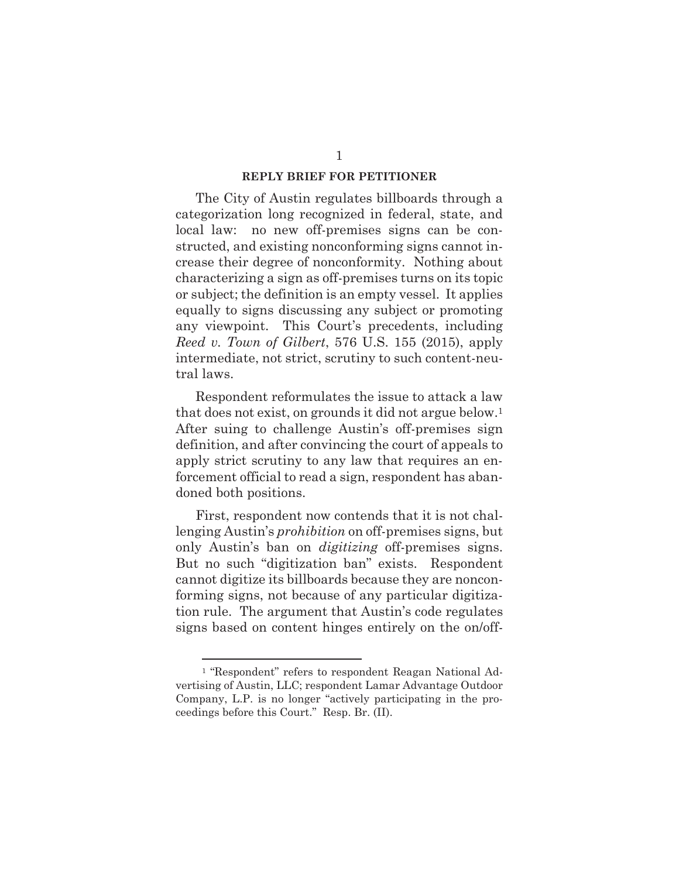## **REPLY BRIEF FOR PETITIONER**

The City of Austin regulates billboards through a categorization long recognized in federal, state, and local law: no new off-premises signs can be constructed, and existing nonconforming signs cannot increase their degree of nonconformity. Nothing about characterizing a sign as off-premises turns on its topic or subject; the definition is an empty vessel. It applies equally to signs discussing any subject or promoting any viewpoint. This Court's precedents, including *Reed v. Town of Gilbert*, 576 U.S. 155 (2015), apply intermediate, not strict, scrutiny to such content-neutral laws.

Respondent reformulates the issue to attack a law that does not exist, on grounds it did not argue below.1 After suing to challenge Austin's off-premises sign definition, and after convincing the court of appeals to apply strict scrutiny to any law that requires an enforcement official to read a sign, respondent has abandoned both positions.

First, respondent now contends that it is not challenging Austin's *prohibition* on off-premises signs, but only Austin's ban on *digitizing* off-premises signs. But no such "digitization ban" exists. Respondent cannot digitize its billboards because they are nonconforming signs, not because of any particular digitization rule. The argument that Austin's code regulates signs based on content hinges entirely on the on/off-

<sup>1 &</sup>quot;Respondent" refers to respondent Reagan National Advertising of Austin, LLC; respondent Lamar Advantage Outdoor Company, L.P. is no longer "actively participating in the proceedings before this Court." Resp. Br. (II).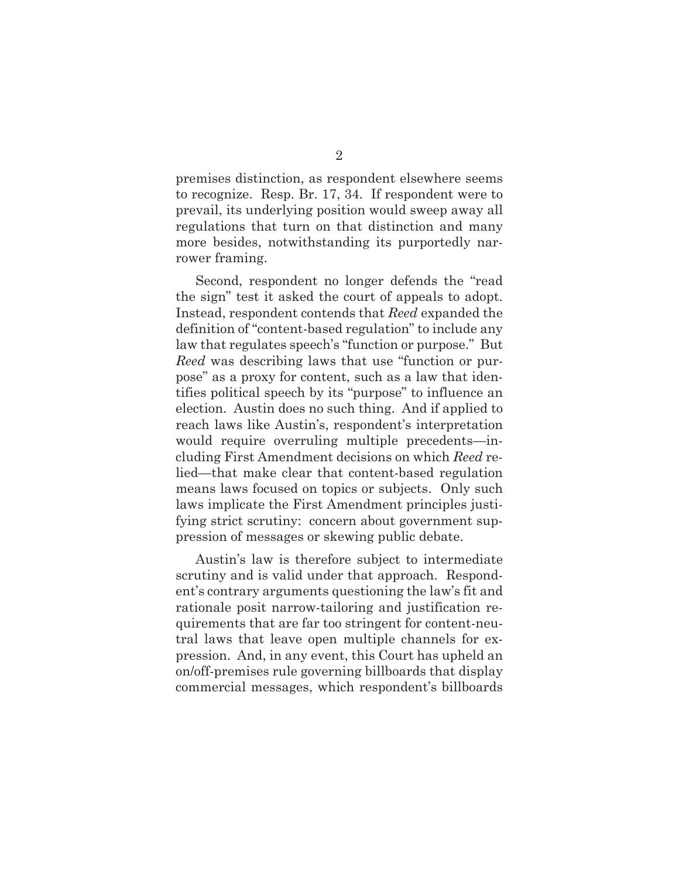premises distinction, as respondent elsewhere seems to recognize. Resp. Br. 17, 34. If respondent were to prevail, its underlying position would sweep away all regulations that turn on that distinction and many more besides, notwithstanding its purportedly narrower framing.

Second, respondent no longer defends the "read the sign" test it asked the court of appeals to adopt. Instead, respondent contends that *Reed* expanded the definition of "content-based regulation" to include any law that regulates speech's "function or purpose." But *Reed* was describing laws that use "function or purpose" as a proxy for content, such as a law that identifies political speech by its "purpose" to influence an election. Austin does no such thing. And if applied to reach laws like Austin's, respondent's interpretation would require overruling multiple precedents—including First Amendment decisions on which *Reed* relied—that make clear that content-based regulation means laws focused on topics or subjects. Only such laws implicate the First Amendment principles justifying strict scrutiny: concern about government suppression of messages or skewing public debate.

Austin's law is therefore subject to intermediate scrutiny and is valid under that approach. Respondent's contrary arguments questioning the law's fit and rationale posit narrow-tailoring and justification requirements that are far too stringent for content-neutral laws that leave open multiple channels for expression. And, in any event, this Court has upheld an on/off-premises rule governing billboards that display commercial messages, which respondent's billboards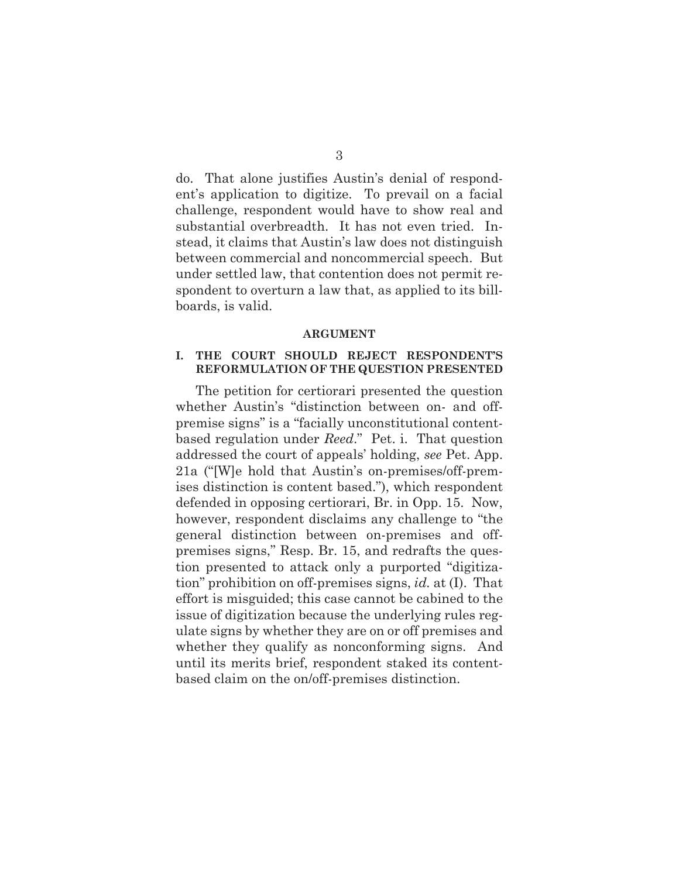do. That alone justifies Austin's denial of respondent's application to digitize. To prevail on a facial challenge, respondent would have to show real and substantial overbreadth. It has not even tried. Instead, it claims that Austin's law does not distinguish between commercial and noncommercial speech. But under settled law, that contention does not permit respondent to overturn a law that, as applied to its billboards, is valid.

#### **ARGUMENT**

## **I. THE COURT SHOULD REJECT RESPONDENT'S REFORMULATION OF THE QUESTION PRESENTED**

The petition for certiorari presented the question whether Austin's "distinction between on- and offpremise signs" is a "facially unconstitutional contentbased regulation under *Reed*." Pet. i. That question addressed the court of appeals' holding, *see* Pet. App. 21a ("[W]e hold that Austin's on-premises/off-premises distinction is content based."), which respondent defended in opposing certiorari, Br. in Opp. 15. Now, however, respondent disclaims any challenge to "the general distinction between on-premises and offpremises signs," Resp. Br. 15, and redrafts the question presented to attack only a purported "digitization" prohibition on off-premises signs, *id.* at (I). That effort is misguided; this case cannot be cabined to the issue of digitization because the underlying rules regulate signs by whether they are on or off premises and whether they qualify as nonconforming signs. And until its merits brief, respondent staked its contentbased claim on the on/off-premises distinction.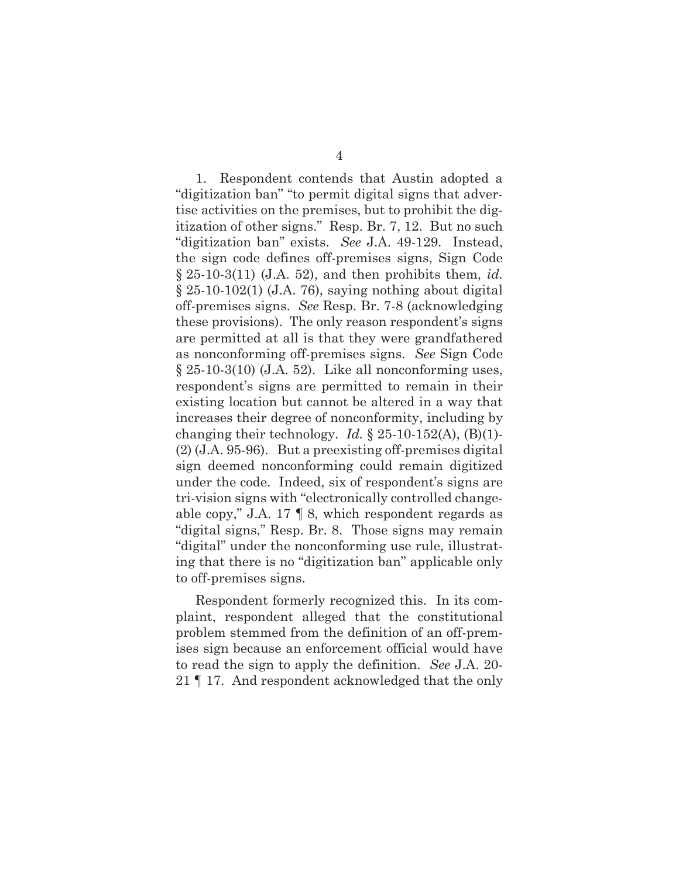1. Respondent contends that Austin adopted a "digitization ban" "to permit digital signs that advertise activities on the premises, but to prohibit the digitization of other signs." Resp. Br. 7, 12. But no such "digitization ban" exists. *See* J.A. 49-129. Instead, the sign code defines off-premises signs, Sign Code § 25-10-3(11) (J.A. 52), and then prohibits them, *id.*  $\S 25-10-102(1)$  (J.A. 76), saying nothing about digital off-premises signs. *See* Resp. Br. 7-8 (acknowledging these provisions). The only reason respondent's signs are permitted at all is that they were grandfathered as nonconforming off-premises signs. *See* Sign Code  $\S 25-10-3(10)$  (J.A. 52). Like all nonconforming uses, respondent's signs are permitted to remain in their existing location but cannot be altered in a way that increases their degree of nonconformity, including by changing their technology. *Id.* § 25-10-152(A), (B)(1)- (2) (J.A. 95-96). But a preexisting off-premises digital sign deemed nonconforming could remain digitized under the code. Indeed, six of respondent's signs are tri-vision signs with "electronically controlled changeable copy," J.A. 17 ¶ 8, which respondent regards as "digital signs," Resp. Br. 8. Those signs may remain "digital" under the nonconforming use rule, illustrating that there is no "digitization ban" applicable only to off-premises signs.

Respondent formerly recognized this. In its complaint, respondent alleged that the constitutional problem stemmed from the definition of an off-premises sign because an enforcement official would have to read the sign to apply the definition. *See* J.A. 20- 21 ¶ 17. And respondent acknowledged that the only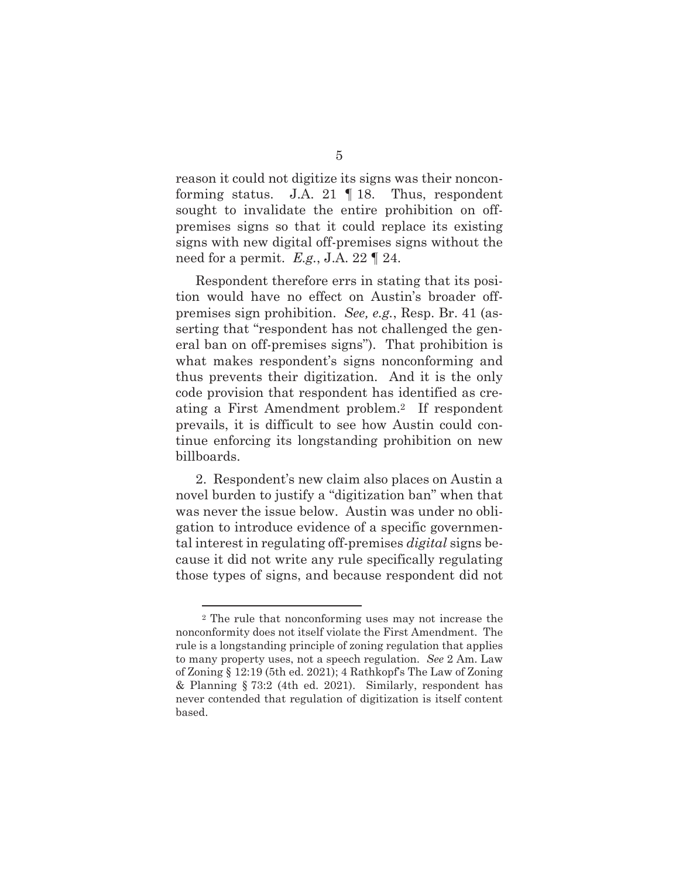reason it could not digitize its signs was their nonconforming status. J.A. 21 ¶ 18. Thus, respondent sought to invalidate the entire prohibition on offpremises signs so that it could replace its existing signs with new digital off-premises signs without the need for a permit. *E.g.*, J.A. 22 ¶ 24.

Respondent therefore errs in stating that its position would have no effect on Austin's broader offpremises sign prohibition. *See, e.g.*, Resp. Br. 41 (asserting that "respondent has not challenged the general ban on off-premises signs"). That prohibition is what makes respondent's signs nonconforming and thus prevents their digitization. And it is the only code provision that respondent has identified as creating a First Amendment problem.2 If respondent prevails, it is difficult to see how Austin could continue enforcing its longstanding prohibition on new billboards.

2. Respondent's new claim also places on Austin a novel burden to justify a "digitization ban" when that was never the issue below. Austin was under no obligation to introduce evidence of a specific governmental interest in regulating off-premises *digital* signs because it did not write any rule specifically regulating those types of signs, and because respondent did not

<sup>2</sup> The rule that nonconforming uses may not increase the nonconformity does not itself violate the First Amendment. The rule is a longstanding principle of zoning regulation that applies to many property uses, not a speech regulation. *See* 2 Am. Law of Zoning § 12:19 (5th ed. 2021); 4 Rathkopf's The Law of Zoning & Planning § 73:2 (4th ed. 2021). Similarly, respondent has never contended that regulation of digitization is itself content based.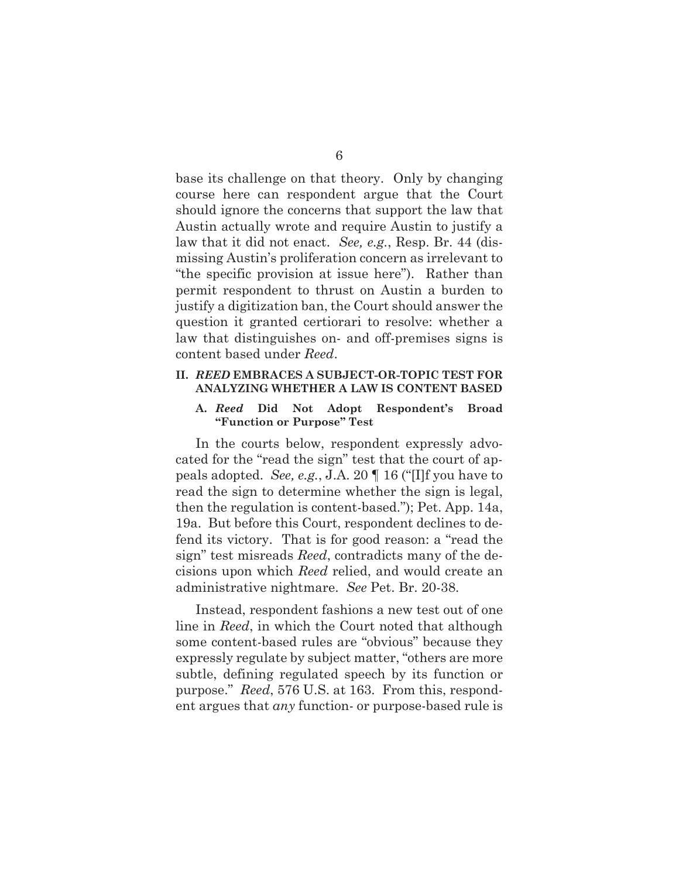base its challenge on that theory. Only by changing course here can respondent argue that the Court should ignore the concerns that support the law that Austin actually wrote and require Austin to justify a law that it did not enact. *See, e.g.*, Resp. Br. 44 (dismissing Austin's proliferation concern as irrelevant to "the specific provision at issue here"). Rather than permit respondent to thrust on Austin a burden to justify a digitization ban, the Court should answer the question it granted certiorari to resolve: whether a law that distinguishes on- and off-premises signs is content based under *Reed*.

### **II.** *REED* **EMBRACES A SUBJECT-OR-TOPIC TEST FOR ANALYZING WHETHER A LAW IS CONTENT BASED**

### **A.** *Reed* **Did Not Adopt Respondent's Broad "Function or Purpose" Test**

In the courts below, respondent expressly advocated for the "read the sign" test that the court of appeals adopted. *See, e.g.*, J.A. 20 ¶ 16 ("[I]f you have to read the sign to determine whether the sign is legal, then the regulation is content-based."); Pet. App. 14a, 19a. But before this Court, respondent declines to defend its victory. That is for good reason: a "read the sign" test misreads *Reed*, contradicts many of the decisions upon which *Reed* relied, and would create an administrative nightmare. *See* Pet. Br. 20-38.

Instead, respondent fashions a new test out of one line in *Reed*, in which the Court noted that although some content-based rules are "obvious" because they expressly regulate by subject matter, "others are more subtle, defining regulated speech by its function or purpose." *Reed*, 576 U.S. at 163. From this, respondent argues that *any* function- or purpose-based rule is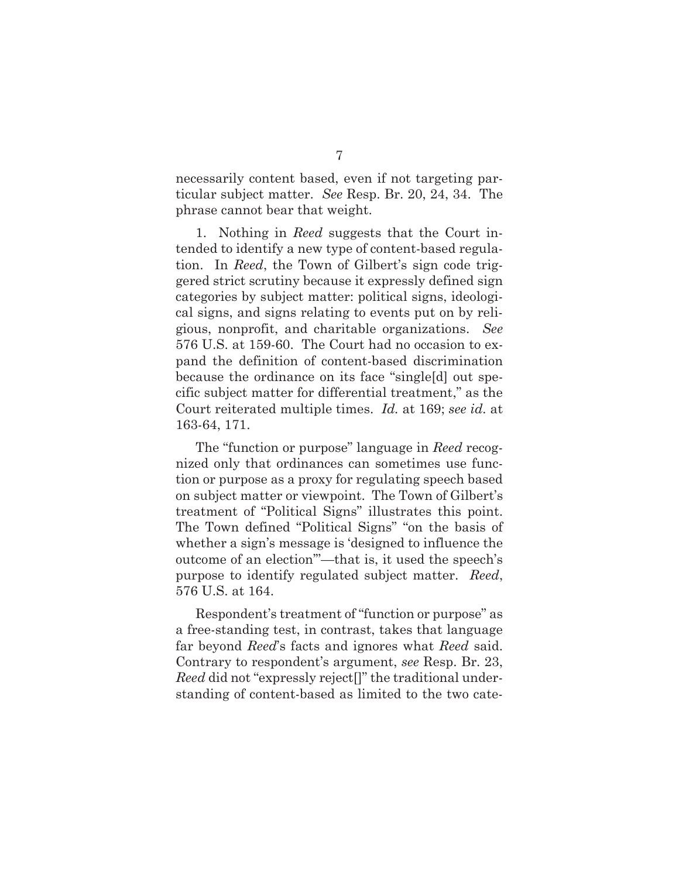necessarily content based, even if not targeting particular subject matter. *See* Resp. Br. 20, 24, 34. The phrase cannot bear that weight.

1. Nothing in *Reed* suggests that the Court intended to identify a new type of content-based regulation. In *Reed*, the Town of Gilbert's sign code triggered strict scrutiny because it expressly defined sign categories by subject matter: political signs, ideological signs, and signs relating to events put on by religious, nonprofit, and charitable organizations. *See*  576 U.S. at 159-60. The Court had no occasion to expand the definition of content-based discrimination because the ordinance on its face "single[d] out specific subject matter for differential treatment," as the Court reiterated multiple times. *Id.* at 169; *see id.* at 163-64, 171.

The "function or purpose" language in *Reed* recognized only that ordinances can sometimes use function or purpose as a proxy for regulating speech based on subject matter or viewpoint. The Town of Gilbert's treatment of "Political Signs" illustrates this point. The Town defined "Political Signs" "on the basis of whether a sign's message is 'designed to influence the outcome of an election'"—that is, it used the speech's purpose to identify regulated subject matter. *Reed*, 576 U.S. at 164.

Respondent's treatment of "function or purpose" as a free-standing test, in contrast, takes that language far beyond *Reed*'s facts and ignores what *Reed* said. Contrary to respondent's argument, *see* Resp. Br. 23, *Reed* did not "expressly reject[]" the traditional understanding of content-based as limited to the two cate-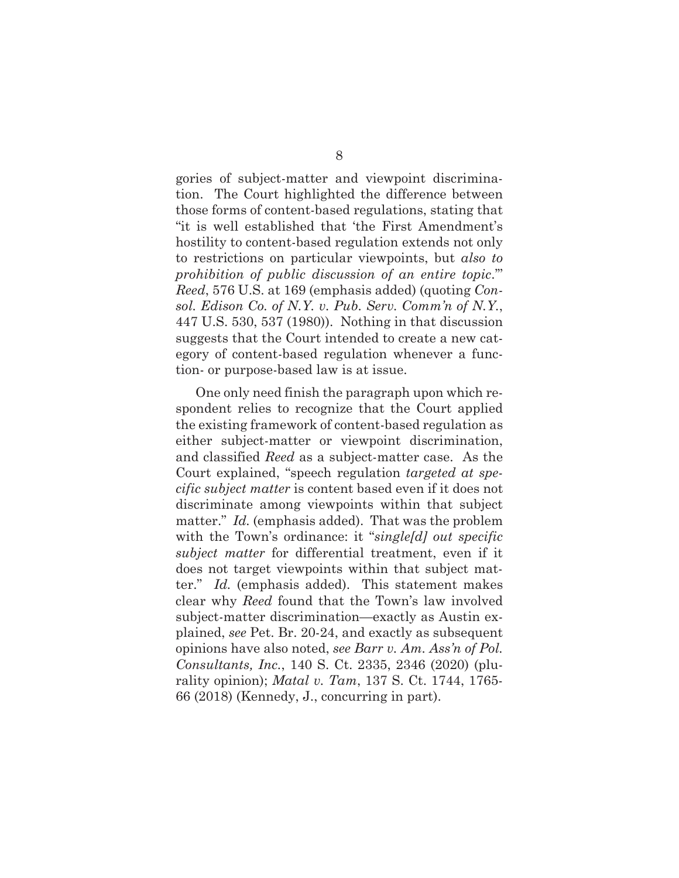gories of subject-matter and viewpoint discrimination. The Court highlighted the difference between those forms of content-based regulations, stating that "it is well established that 'the First Amendment's hostility to content-based regulation extends not only to restrictions on particular viewpoints, but *also to prohibition of public discussion of an entire topic*.'" *Reed*, 576 U.S. at 169 (emphasis added) (quoting *Consol. Edison Co. of N.Y. v. Pub. Serv. Comm'n of N.Y.*, 447 U.S. 530, 537 (1980)). Nothing in that discussion suggests that the Court intended to create a new category of content-based regulation whenever a function- or purpose-based law is at issue.

One only need finish the paragraph upon which respondent relies to recognize that the Court applied the existing framework of content-based regulation as either subject-matter or viewpoint discrimination, and classified *Reed* as a subject-matter case. As the Court explained, "speech regulation *targeted at specific subject matter* is content based even if it does not discriminate among viewpoints within that subject matter." *Id.* (emphasis added). That was the problem with the Town's ordinance: it "*single[d] out specific subject matter* for differential treatment, even if it does not target viewpoints within that subject matter." *Id.* (emphasis added). This statement makes clear why *Reed* found that the Town's law involved subject-matter discrimination—exactly as Austin explained, *see* Pet. Br. 20-24, and exactly as subsequent opinions have also noted, *see Barr v. Am. Ass'n of Pol. Consultants, Inc.*, 140 S. Ct. 2335, 2346 (2020) (plurality opinion); *Matal v. Tam*, 137 S. Ct. 1744, 1765- 66 (2018) (Kennedy, J., concurring in part).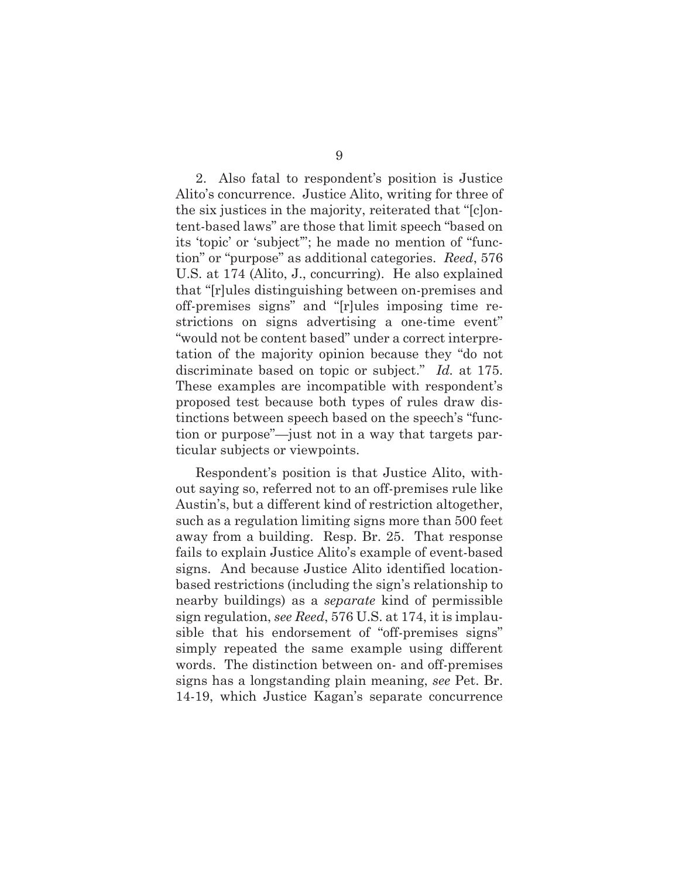2. Also fatal to respondent's position is Justice Alito's concurrence. Justice Alito, writing for three of the six justices in the majority, reiterated that "[c]ontent-based laws" are those that limit speech "based on its 'topic' or 'subject'"; he made no mention of "function" or "purpose" as additional categories. *Reed*, 576 U.S. at 174 (Alito, J., concurring). He also explained that "[r]ules distinguishing between on-premises and off-premises signs" and "[r]ules imposing time restrictions on signs advertising a one-time event" "would not be content based" under a correct interpretation of the majority opinion because they "do not discriminate based on topic or subject." *Id.* at 175. These examples are incompatible with respondent's proposed test because both types of rules draw distinctions between speech based on the speech's "function or purpose"—just not in a way that targets particular subjects or viewpoints.

Respondent's position is that Justice Alito, without saying so, referred not to an off-premises rule like Austin's, but a different kind of restriction altogether, such as a regulation limiting signs more than 500 feet away from a building. Resp. Br. 25. That response fails to explain Justice Alito's example of event-based signs. And because Justice Alito identified locationbased restrictions (including the sign's relationship to nearby buildings) as a *separate* kind of permissible sign regulation, *see Reed*, 576 U.S. at 174, it is implausible that his endorsement of "off-premises signs" simply repeated the same example using different words. The distinction between on- and off-premises signs has a longstanding plain meaning, *see* Pet. Br. 14-19, which Justice Kagan's separate concurrence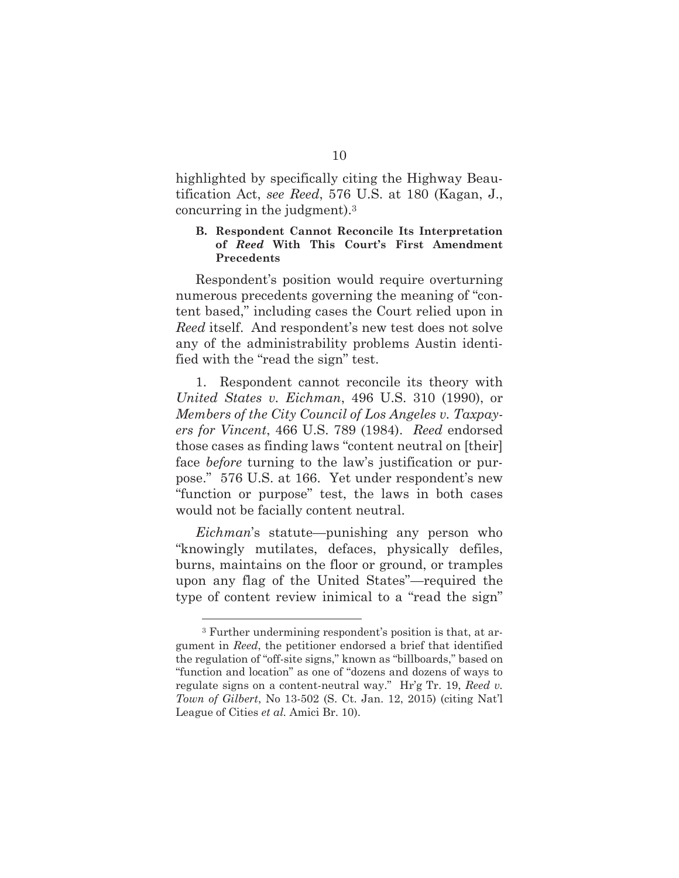highlighted by specifically citing the Highway Beautification Act, *see Reed*, 576 U.S. at 180 (Kagan, J., concurring in the judgment).3

## **B. Respondent Cannot Reconcile Its Interpretation of** *Reed* **With This Court's First Amendment Precedents**

Respondent's position would require overturning numerous precedents governing the meaning of "content based," including cases the Court relied upon in *Reed* itself. And respondent's new test does not solve any of the administrability problems Austin identified with the "read the sign" test.

1. Respondent cannot reconcile its theory with *United States v. Eichman*, 496 U.S. 310 (1990), or *Members of the City Council of Los Angeles v. Taxpayers for Vincent*, 466 U.S. 789 (1984). *Reed* endorsed those cases as finding laws "content neutral on [their] face *before* turning to the law's justification or purpose." 576 U.S. at 166. Yet under respondent's new "function or purpose" test, the laws in both cases would not be facially content neutral.

*Eichman*'s statute—punishing any person who "knowingly mutilates, defaces, physically defiles, burns, maintains on the floor or ground, or tramples upon any flag of the United States"—required the type of content review inimical to a "read the sign"

<sup>3</sup> Further undermining respondent's position is that, at argument in *Reed*, the petitioner endorsed a brief that identified the regulation of "off-site signs," known as "billboards," based on "function and location" as one of "dozens and dozens of ways to regulate signs on a content-neutral way." Hr'g Tr. 19, *Reed v. Town of Gilbert*, No 13-502 (S. Ct. Jan. 12, 2015) (citing Nat'l League of Cities *et al.* Amici Br. 10).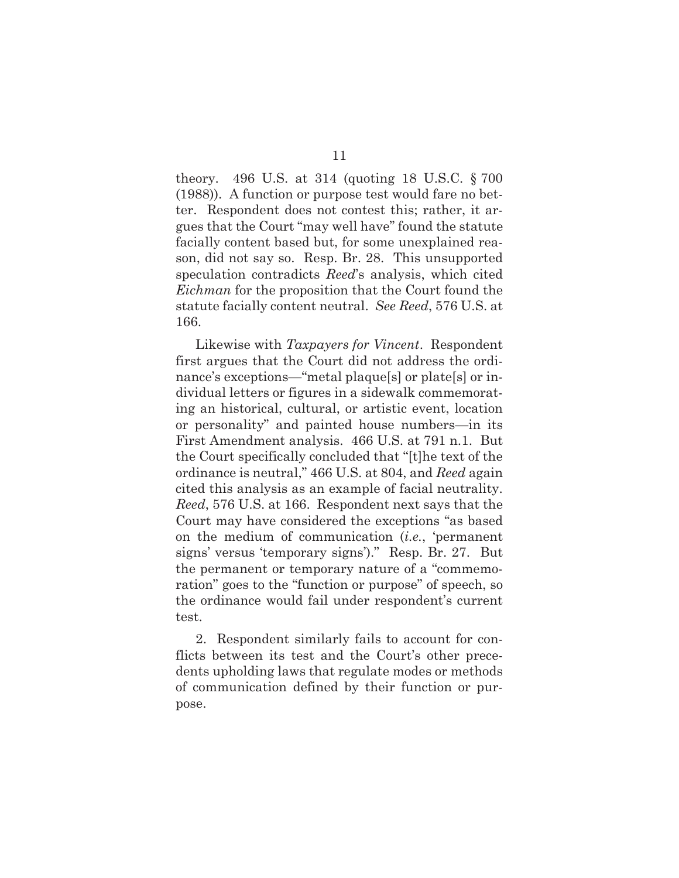theory. 496 U.S. at 314 (quoting 18 U.S.C. § 700 (1988)). A function or purpose test would fare no better. Respondent does not contest this; rather, it argues that the Court "may well have" found the statute facially content based but, for some unexplained reason, did not say so. Resp. Br. 28. This unsupported speculation contradicts *Reed*'s analysis, which cited *Eichman* for the proposition that the Court found the statute facially content neutral. *See Reed*, 576 U.S. at 166.

Likewise with *Taxpayers for Vincent*. Respondent first argues that the Court did not address the ordinance's exceptions—"metal plaque[s] or plate[s] or individual letters or figures in a sidewalk commemorating an historical, cultural, or artistic event, location or personality" and painted house numbers—in its First Amendment analysis. 466 U.S. at 791 n.1. But the Court specifically concluded that "[t]he text of the ordinance is neutral," 466 U.S. at 804, and *Reed* again cited this analysis as an example of facial neutrality. *Reed*, 576 U.S. at 166. Respondent next says that the Court may have considered the exceptions "as based on the medium of communication (*i.e.*, 'permanent signs' versus 'temporary signs')." Resp. Br. 27. But the permanent or temporary nature of a "commemoration" goes to the "function or purpose" of speech, so the ordinance would fail under respondent's current test.

2. Respondent similarly fails to account for conflicts between its test and the Court's other precedents upholding laws that regulate modes or methods of communication defined by their function or purpose.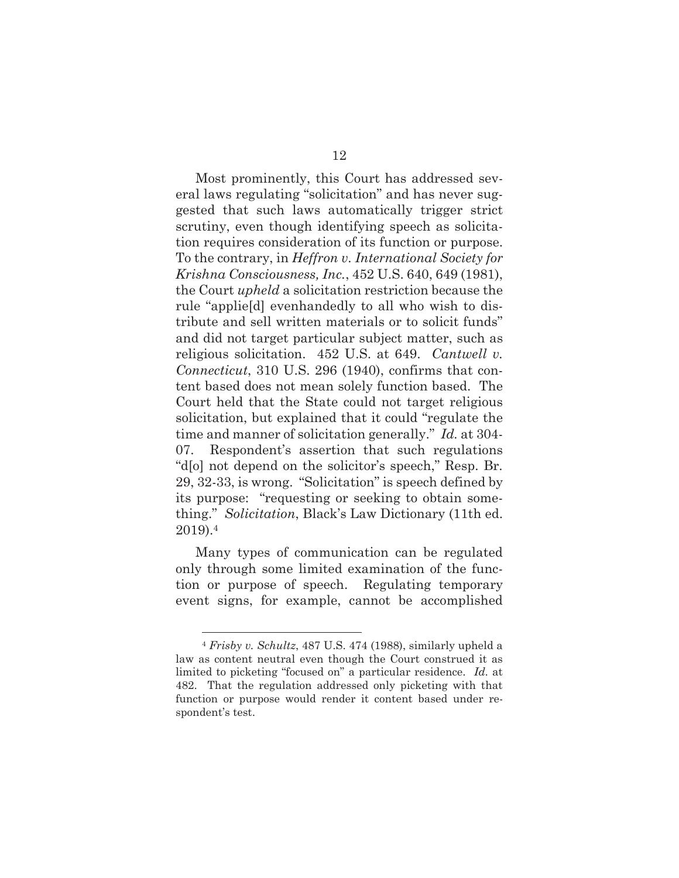Most prominently, this Court has addressed several laws regulating "solicitation" and has never suggested that such laws automatically trigger strict scrutiny, even though identifying speech as solicitation requires consideration of its function or purpose. To the contrary, in *Heffron v. International Society for Krishna Consciousness, Inc.*, 452 U.S. 640, 649 (1981), the Court *upheld* a solicitation restriction because the rule "applie[d] evenhandedly to all who wish to distribute and sell written materials or to solicit funds" and did not target particular subject matter, such as religious solicitation. 452 U.S. at 649. *Cantwell v. Connecticut*, 310 U.S. 296 (1940), confirms that content based does not mean solely function based. The Court held that the State could not target religious solicitation, but explained that it could "regulate the time and manner of solicitation generally." *Id.* at 304- 07. Respondent's assertion that such regulations "d[o] not depend on the solicitor's speech," Resp. Br. 29, 32-33, is wrong. "Solicitation" is speech defined by its purpose: "requesting or seeking to obtain something." *Solicitation*, Black's Law Dictionary (11th ed. 2019).4

Many types of communication can be regulated only through some limited examination of the function or purpose of speech. Regulating temporary event signs, for example, cannot be accomplished

<sup>4</sup> *Frisby v. Schultz*, 487 U.S. 474 (1988), similarly upheld a law as content neutral even though the Court construed it as limited to picketing "focused on" a particular residence. *Id.* at 482. That the regulation addressed only picketing with that function or purpose would render it content based under respondent's test.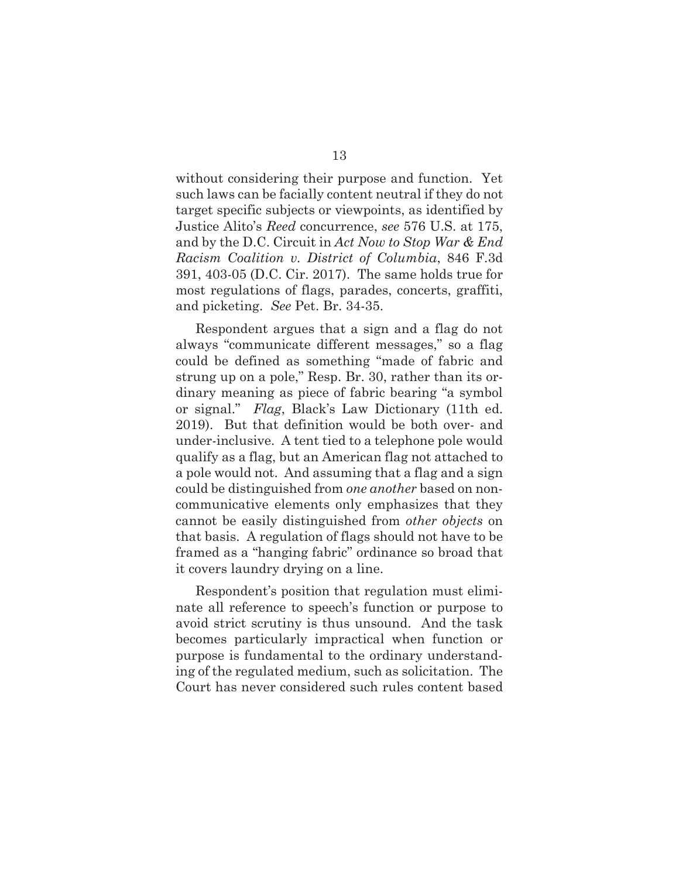without considering their purpose and function. Yet such laws can be facially content neutral if they do not target specific subjects or viewpoints, as identified by Justice Alito's *Reed* concurrence, *see* 576 U.S. at 175, and by the D.C. Circuit in *Act Now to Stop War & End Racism Coalition v. District of Columbia*, 846 F.3d 391, 403-05 (D.C. Cir. 2017). The same holds true for most regulations of flags, parades, concerts, graffiti, and picketing. *See* Pet. Br. 34-35.

Respondent argues that a sign and a flag do not always "communicate different messages," so a flag could be defined as something "made of fabric and strung up on a pole," Resp. Br. 30, rather than its ordinary meaning as piece of fabric bearing "a symbol or signal." *Flag*, Black's Law Dictionary (11th ed. 2019). But that definition would be both over- and under-inclusive. A tent tied to a telephone pole would qualify as a flag, but an American flag not attached to a pole would not. And assuming that a flag and a sign could be distinguished from *one another* based on noncommunicative elements only emphasizes that they cannot be easily distinguished from *other objects* on that basis. A regulation of flags should not have to be framed as a "hanging fabric" ordinance so broad that it covers laundry drying on a line.

Respondent's position that regulation must eliminate all reference to speech's function or purpose to avoid strict scrutiny is thus unsound. And the task becomes particularly impractical when function or purpose is fundamental to the ordinary understanding of the regulated medium, such as solicitation. The Court has never considered such rules content based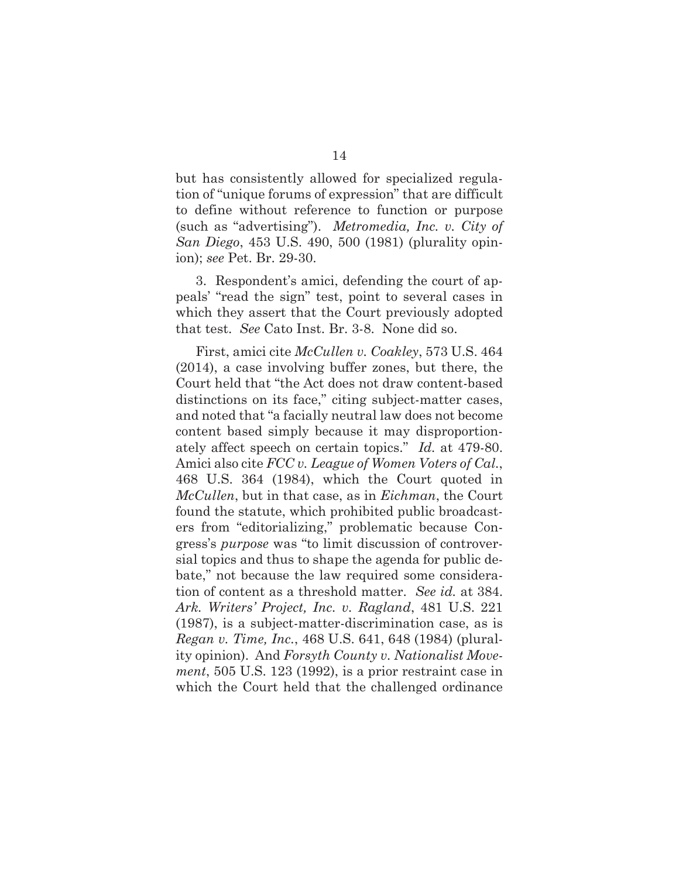but has consistently allowed for specialized regulation of "unique forums of expression" that are difficult to define without reference to function or purpose (such as "advertising"). *Metromedia, Inc. v. City of San Diego*, 453 U.S. 490, 500 (1981) (plurality opinion); *see* Pet. Br. 29-30.

3. Respondent's amici, defending the court of appeals' "read the sign" test, point to several cases in which they assert that the Court previously adopted that test. *See* Cato Inst. Br. 3-8. None did so.

First, amici cite *McCullen v. Coakley*, 573 U.S. 464 (2014), a case involving buffer zones, but there, the Court held that "the Act does not draw content-based distinctions on its face," citing subject-matter cases, and noted that "a facially neutral law does not become content based simply because it may disproportionately affect speech on certain topics." *Id.* at 479-80. Amici also cite *FCC v. League of Women Voters of Cal.*, 468 U.S. 364 (1984), which the Court quoted in *McCullen*, but in that case, as in *Eichman*, the Court found the statute, which prohibited public broadcasters from "editorializing," problematic because Congress's *purpose* was "to limit discussion of controversial topics and thus to shape the agenda for public debate," not because the law required some consideration of content as a threshold matter. *See id.* at 384. *Ark. Writers' Project, Inc. v. Ragland*, 481 U.S. 221 (1987), is a subject-matter-discrimination case, as is *Regan v. Time, Inc.*, 468 U.S. 641, 648 (1984) (plurality opinion). And *Forsyth County v. Nationalist Movement*, 505 U.S. 123 (1992), is a prior restraint case in which the Court held that the challenged ordinance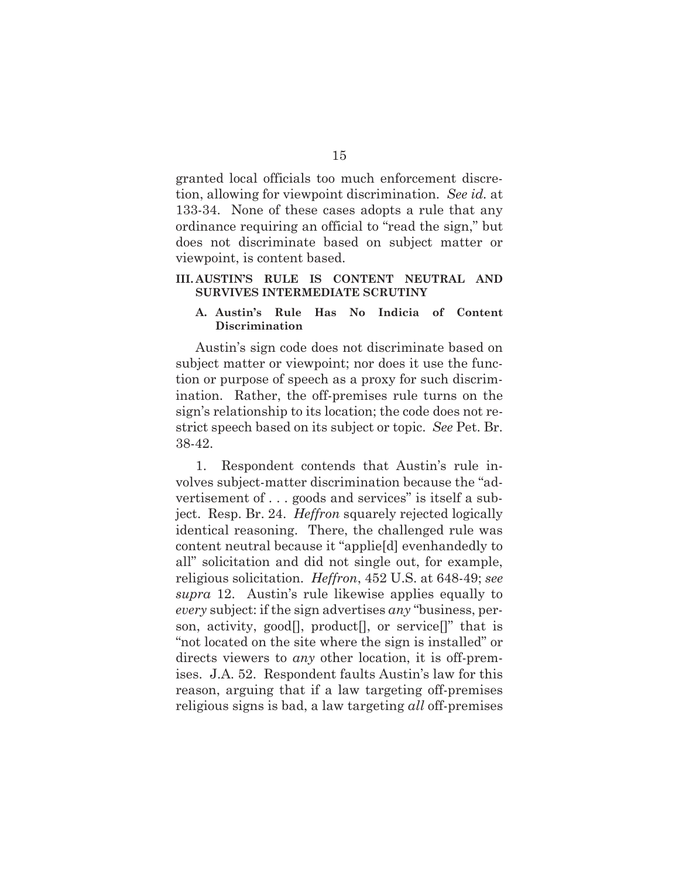granted local officials too much enforcement discretion, allowing for viewpoint discrimination. *See id.* at 133-34. None of these cases adopts a rule that any ordinance requiring an official to "read the sign," but does not discriminate based on subject matter or viewpoint, is content based.

## **III. AUSTIN'S RULE IS CONTENT NEUTRAL AND SURVIVES INTERMEDIATE SCRUTINY**

## **A. Austin's Rule Has No Indicia of Content Discrimination**

Austin's sign code does not discriminate based on subject matter or viewpoint; nor does it use the function or purpose of speech as a proxy for such discrimination. Rather, the off-premises rule turns on the sign's relationship to its location; the code does not restrict speech based on its subject or topic. *See* Pet. Br. 38-42.

1. Respondent contends that Austin's rule involves subject-matter discrimination because the "advertisement of . . . goods and services" is itself a subject. Resp. Br. 24. *Heffron* squarely rejected logically identical reasoning. There, the challenged rule was content neutral because it "applie[d] evenhandedly to all" solicitation and did not single out, for example, religious solicitation. *Heffron*, 452 U.S. at 648-49; *see supra* 12. Austin's rule likewise applies equally to *every* subject: if the sign advertises *any* "business, person, activity, good<sup>[]</sup>, product<sup>[]</sup>, or service<sup>[]"</sup> that is "not located on the site where the sign is installed" or directs viewers to *any* other location, it is off-premises. J.A. 52. Respondent faults Austin's law for this reason, arguing that if a law targeting off-premises religious signs is bad, a law targeting *all* off-premises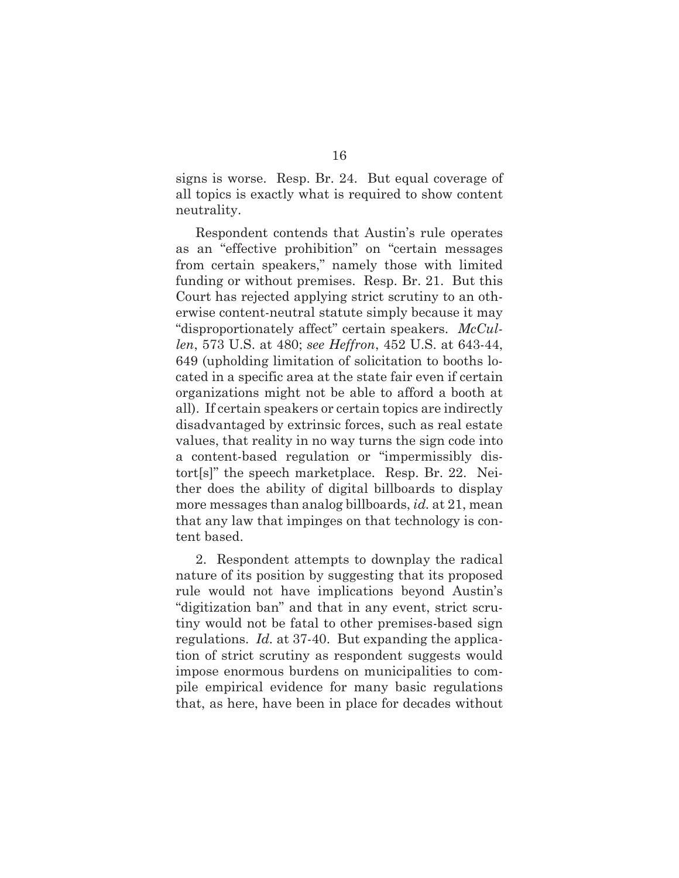signs is worse. Resp. Br. 24. But equal coverage of all topics is exactly what is required to show content neutrality.

Respondent contends that Austin's rule operates as an "effective prohibition" on "certain messages from certain speakers," namely those with limited funding or without premises. Resp. Br. 21. But this Court has rejected applying strict scrutiny to an otherwise content-neutral statute simply because it may "disproportionately affect" certain speakers. *McCullen*, 573 U.S. at 480; *see Heffron*, 452 U.S. at 643-44, 649 (upholding limitation of solicitation to booths located in a specific area at the state fair even if certain organizations might not be able to afford a booth at all). If certain speakers or certain topics are indirectly disadvantaged by extrinsic forces, such as real estate values, that reality in no way turns the sign code into a content-based regulation or "impermissibly distort[s]" the speech marketplace. Resp. Br. 22. Neither does the ability of digital billboards to display more messages than analog billboards, *id.* at 21, mean that any law that impinges on that technology is content based.

2. Respondent attempts to downplay the radical nature of its position by suggesting that its proposed rule would not have implications beyond Austin's "digitization ban" and that in any event, strict scrutiny would not be fatal to other premises-based sign regulations. *Id.* at 37-40. But expanding the application of strict scrutiny as respondent suggests would impose enormous burdens on municipalities to compile empirical evidence for many basic regulations that, as here, have been in place for decades without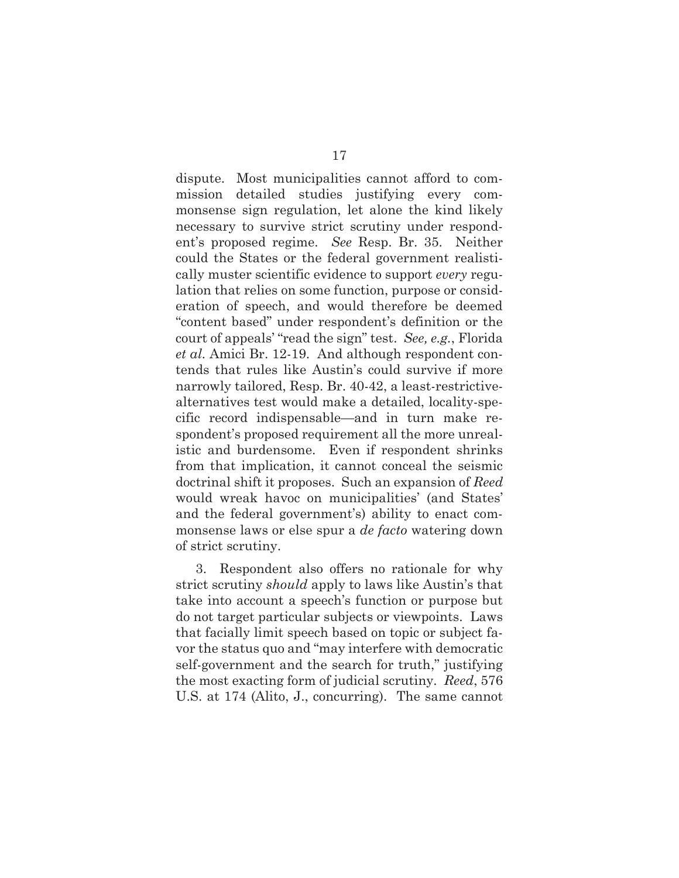dispute. Most municipalities cannot afford to commission detailed studies justifying every commonsense sign regulation, let alone the kind likely necessary to survive strict scrutiny under respondent's proposed regime. *See* Resp. Br. 35. Neither could the States or the federal government realistically muster scientific evidence to support *every* regulation that relies on some function, purpose or consideration of speech, and would therefore be deemed "content based" under respondent's definition or the court of appeals' "read the sign" test. *See, e.g.*, Florida *et al.* Amici Br. 12-19. And although respondent contends that rules like Austin's could survive if more narrowly tailored, Resp. Br. 40-42, a least-restrictivealternatives test would make a detailed, locality-specific record indispensable—and in turn make respondent's proposed requirement all the more unrealistic and burdensome. Even if respondent shrinks from that implication, it cannot conceal the seismic doctrinal shift it proposes. Such an expansion of *Reed*  would wreak havoc on municipalities' (and States' and the federal government's) ability to enact commonsense laws or else spur a *de facto* watering down of strict scrutiny.

3. Respondent also offers no rationale for why strict scrutiny *should* apply to laws like Austin's that take into account a speech's function or purpose but do not target particular subjects or viewpoints. Laws that facially limit speech based on topic or subject favor the status quo and "may interfere with democratic self-government and the search for truth," justifying the most exacting form of judicial scrutiny. *Reed*, 576 U.S. at 174 (Alito, J., concurring). The same cannot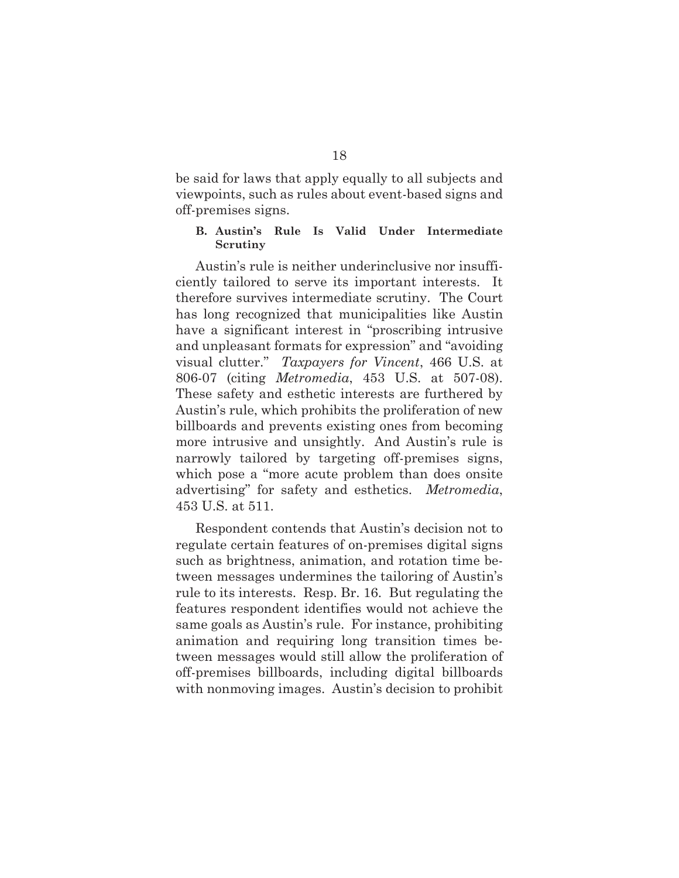be said for laws that apply equally to all subjects and viewpoints, such as rules about event-based signs and off-premises signs.

## **B. Austin's Rule Is Valid Under Intermediate Scrutiny**

Austin's rule is neither underinclusive nor insufficiently tailored to serve its important interests. It therefore survives intermediate scrutiny. The Court has long recognized that municipalities like Austin have a significant interest in "proscribing intrusive and unpleasant formats for expression" and "avoiding visual clutter." *Taxpayers for Vincent*, 466 U.S. at 806-07 (citing *Metromedia*, 453 U.S. at 507-08). These safety and esthetic interests are furthered by Austin's rule, which prohibits the proliferation of new billboards and prevents existing ones from becoming more intrusive and unsightly. And Austin's rule is narrowly tailored by targeting off-premises signs, which pose a "more acute problem than does onsite advertising" for safety and esthetics. *Metromedia*, 453 U.S. at 511.

Respondent contends that Austin's decision not to regulate certain features of on-premises digital signs such as brightness, animation, and rotation time between messages undermines the tailoring of Austin's rule to its interests. Resp. Br. 16. But regulating the features respondent identifies would not achieve the same goals as Austin's rule. For instance, prohibiting animation and requiring long transition times between messages would still allow the proliferation of off-premises billboards, including digital billboards with nonmoving images. Austin's decision to prohibit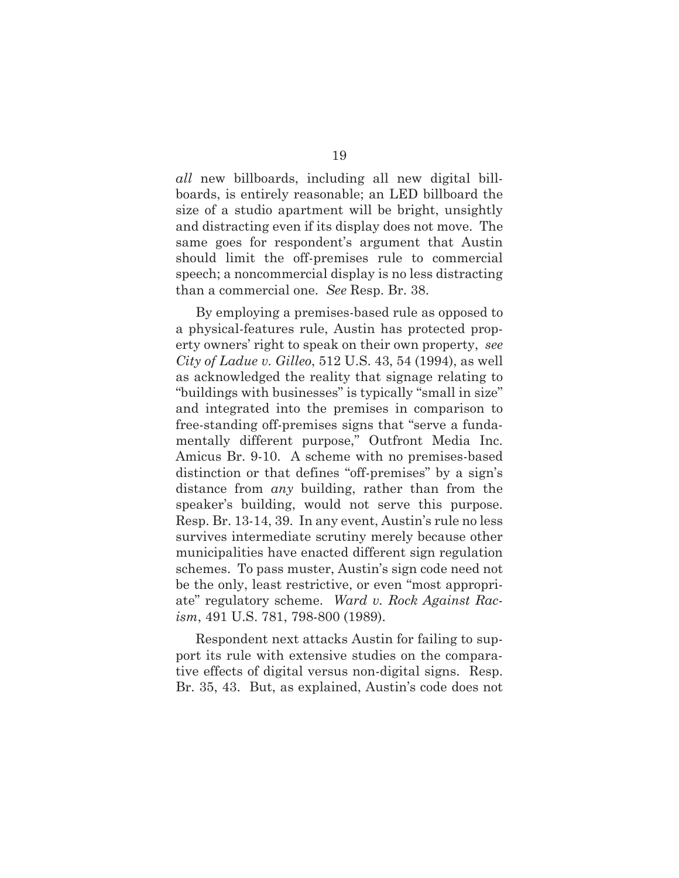*all* new billboards, including all new digital billboards, is entirely reasonable; an LED billboard the size of a studio apartment will be bright, unsightly and distracting even if its display does not move. The same goes for respondent's argument that Austin should limit the off-premises rule to commercial speech; a noncommercial display is no less distracting than a commercial one. *See* Resp. Br. 38.

By employing a premises-based rule as opposed to a physical-features rule, Austin has protected property owners' right to speak on their own property, *see City of Ladue v. Gilleo*, 512 U.S. 43, 54 (1994), as well as acknowledged the reality that signage relating to "buildings with businesses" is typically "small in size" and integrated into the premises in comparison to free-standing off-premises signs that "serve a fundamentally different purpose," Outfront Media Inc. Amicus Br. 9-10. A scheme with no premises-based distinction or that defines "off-premises" by a sign's distance from *any* building, rather than from the speaker's building, would not serve this purpose. Resp. Br. 13-14, 39. In any event, Austin's rule no less survives intermediate scrutiny merely because other municipalities have enacted different sign regulation schemes. To pass muster, Austin's sign code need not be the only, least restrictive, or even "most appropriate" regulatory scheme. *Ward v. Rock Against Racism*, 491 U.S. 781, 798-800 (1989).

Respondent next attacks Austin for failing to support its rule with extensive studies on the comparative effects of digital versus non-digital signs. Resp. Br. 35, 43. But, as explained, Austin's code does not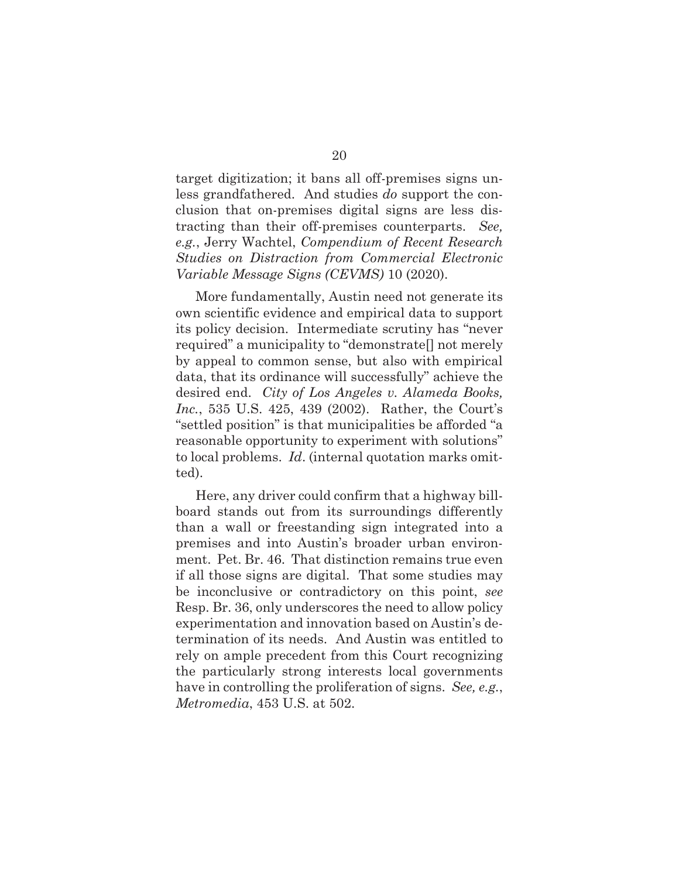target digitization; it bans all off-premises signs unless grandfathered. And studies *do* support the conclusion that on-premises digital signs are less distracting than their off-premises counterparts. *See, e.g.*, Jerry Wachtel, *Compendium of Recent Research Studies on Distraction from Commercial Electronic Variable Message Signs (CEVMS)* 10 (2020).

More fundamentally, Austin need not generate its own scientific evidence and empirical data to support its policy decision. Intermediate scrutiny has "never required" a municipality to "demonstrate[] not merely by appeal to common sense, but also with empirical data, that its ordinance will successfully" achieve the desired end. *City of Los Angeles v. Alameda Books, Inc.*, 535 U.S. 425, 439 (2002). Rather, the Court's "settled position" is that municipalities be afforded "a reasonable opportunity to experiment with solutions" to local problems. *Id*. (internal quotation marks omitted).

Here, any driver could confirm that a highway billboard stands out from its surroundings differently than a wall or freestanding sign integrated into a premises and into Austin's broader urban environment. Pet. Br. 46. That distinction remains true even if all those signs are digital. That some studies may be inconclusive or contradictory on this point, *see* Resp. Br. 36, only underscores the need to allow policy experimentation and innovation based on Austin's determination of its needs. And Austin was entitled to rely on ample precedent from this Court recognizing the particularly strong interests local governments have in controlling the proliferation of signs. *See, e.g.*, *Metromedia*, 453 U.S. at 502.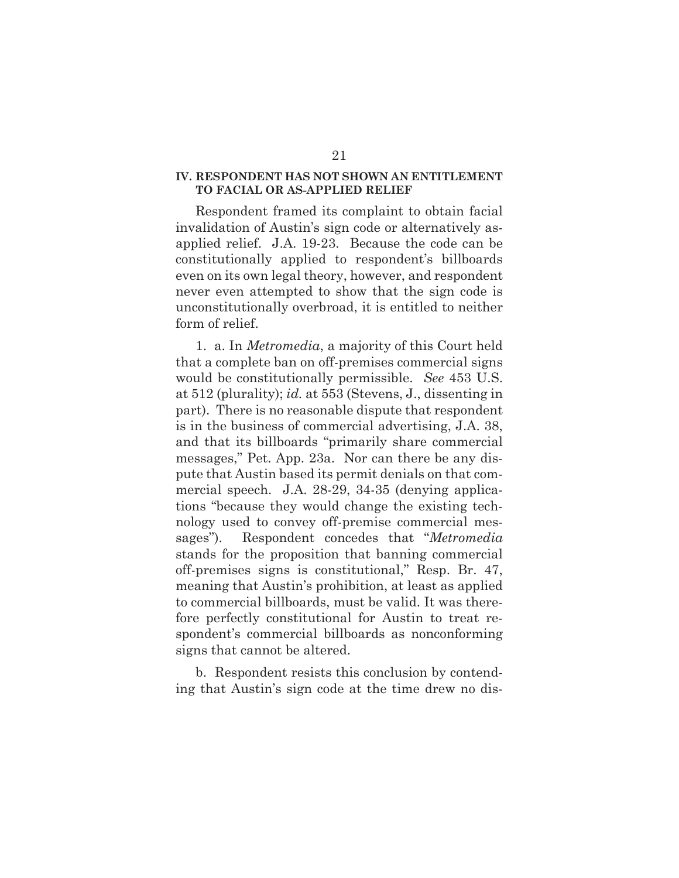## **IV. RESPONDENT HAS NOT SHOWN AN ENTITLEMENT TO FACIAL OR AS-APPLIED RELIEF**

Respondent framed its complaint to obtain facial invalidation of Austin's sign code or alternatively asapplied relief. J.A. 19-23. Because the code can be constitutionally applied to respondent's billboards even on its own legal theory, however, and respondent never even attempted to show that the sign code is unconstitutionally overbroad, it is entitled to neither form of relief.

1. a. In *Metromedia*, a majority of this Court held that a complete ban on off-premises commercial signs would be constitutionally permissible. *See* 453 U.S. at 512 (plurality); *id.* at 553 (Stevens, J., dissenting in part). There is no reasonable dispute that respondent is in the business of commercial advertising, J.A. 38, and that its billboards "primarily share commercial messages," Pet. App. 23a. Nor can there be any dispute that Austin based its permit denials on that commercial speech. J.A. 28-29, 34-35 (denying applications "because they would change the existing technology used to convey off-premise commercial messages"). Respondent concedes that "*Metromedia* stands for the proposition that banning commercial off-premises signs is constitutional," Resp. Br. 47, meaning that Austin's prohibition, at least as applied to commercial billboards, must be valid. It was therefore perfectly constitutional for Austin to treat respondent's commercial billboards as nonconforming signs that cannot be altered.

b. Respondent resists this conclusion by contending that Austin's sign code at the time drew no dis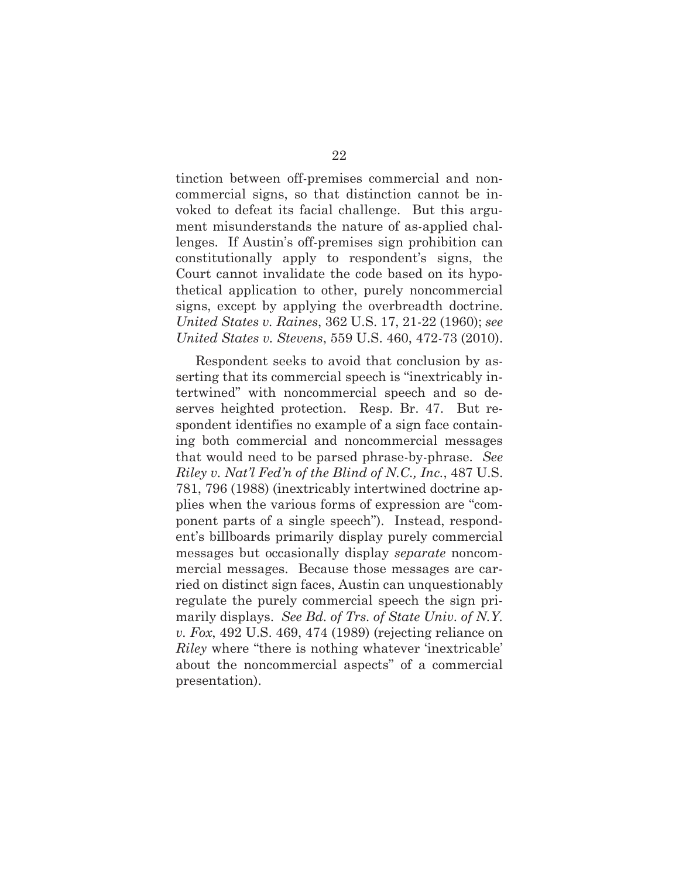tinction between off-premises commercial and noncommercial signs, so that distinction cannot be invoked to defeat its facial challenge. But this argument misunderstands the nature of as-applied challenges. If Austin's off-premises sign prohibition can constitutionally apply to respondent's signs, the Court cannot invalidate the code based on its hypothetical application to other, purely noncommercial signs, except by applying the overbreadth doctrine. *United States v. Raines*, 362 U.S. 17, 21-22 (1960); *see United States v. Stevens*, 559 U.S. 460, 472-73 (2010).

Respondent seeks to avoid that conclusion by asserting that its commercial speech is "inextricably intertwined" with noncommercial speech and so deserves heighted protection. Resp. Br. 47. But respondent identifies no example of a sign face containing both commercial and noncommercial messages that would need to be parsed phrase-by-phrase. *See Riley v. Nat'l Fed'n of the Blind of N.C., Inc.*, 487 U.S. 781, 796 (1988) (inextricably intertwined doctrine applies when the various forms of expression are "component parts of a single speech"). Instead, respondent's billboards primarily display purely commercial messages but occasionally display *separate* noncommercial messages. Because those messages are carried on distinct sign faces, Austin can unquestionably regulate the purely commercial speech the sign primarily displays. *See Bd. of Trs. of State Univ. of N.Y. v. Fox*, 492 U.S. 469, 474 (1989) (rejecting reliance on *Riley* where "there is nothing whatever 'inextricable' about the noncommercial aspects" of a commercial presentation).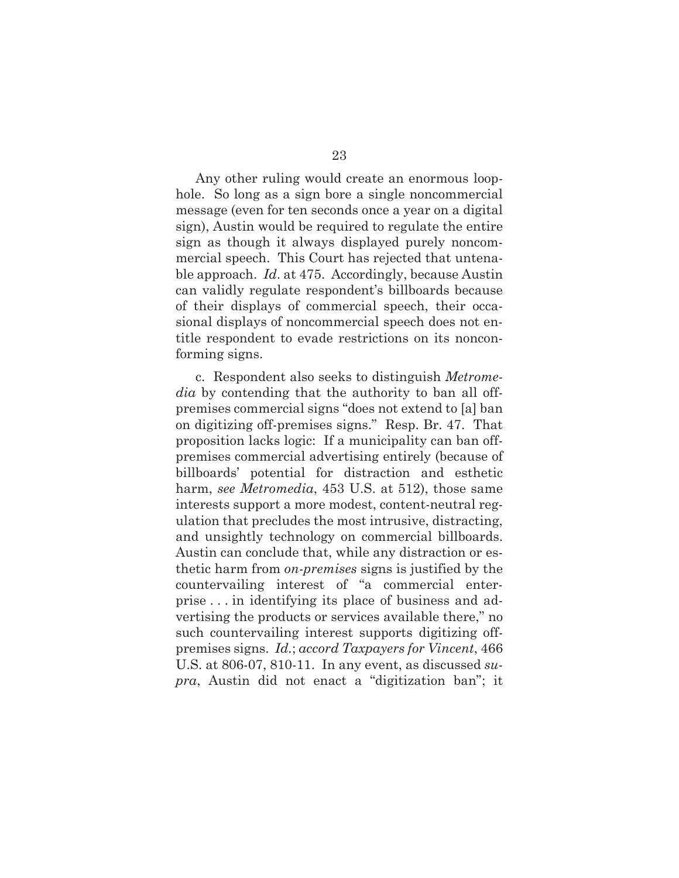Any other ruling would create an enormous loophole. So long as a sign bore a single noncommercial message (even for ten seconds once a year on a digital sign), Austin would be required to regulate the entire sign as though it always displayed purely noncommercial speech. This Court has rejected that untenable approach. *Id*. at 475. Accordingly, because Austin can validly regulate respondent's billboards because of their displays of commercial speech, their occasional displays of noncommercial speech does not entitle respondent to evade restrictions on its nonconforming signs.

c. Respondent also seeks to distinguish *Metromedia* by contending that the authority to ban all offpremises commercial signs "does not extend to [a] ban on digitizing off-premises signs." Resp. Br. 47. That proposition lacks logic: If a municipality can ban offpremises commercial advertising entirely (because of billboards' potential for distraction and esthetic harm, *see Metromedia*, 453 U.S. at 512), those same interests support a more modest, content-neutral regulation that precludes the most intrusive, distracting, and unsightly technology on commercial billboards. Austin can conclude that, while any distraction or esthetic harm from *on-premises* signs is justified by the countervailing interest of "a commercial enterprise . . . in identifying its place of business and advertising the products or services available there," no such countervailing interest supports digitizing offpremises signs. *Id.*; *accord Taxpayers for Vincent*, 466 U.S. at 806-07, 810-11. In any event, as discussed *supra*, Austin did not enact a "digitization ban"; it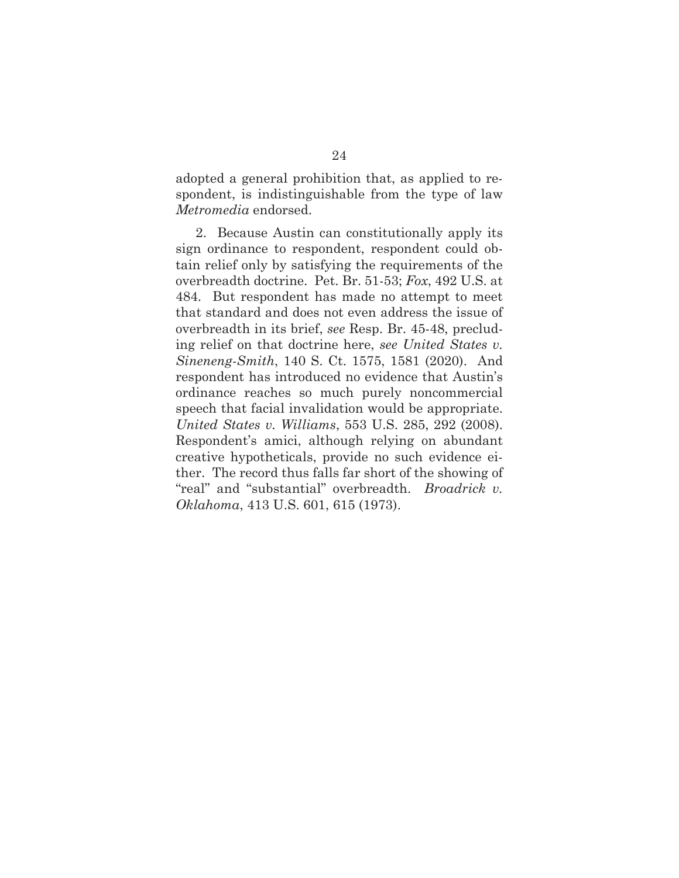adopted a general prohibition that, as applied to respondent, is indistinguishable from the type of law *Metromedia* endorsed.

2. Because Austin can constitutionally apply its sign ordinance to respondent, respondent could obtain relief only by satisfying the requirements of the overbreadth doctrine. Pet. Br. 51-53; *Fox*, 492 U.S. at 484. But respondent has made no attempt to meet that standard and does not even address the issue of overbreadth in its brief, *see* Resp. Br. 45-48, precluding relief on that doctrine here, *see United States v. Sineneng-Smith*, 140 S. Ct. 1575, 1581 (2020). And respondent has introduced no evidence that Austin's ordinance reaches so much purely noncommercial speech that facial invalidation would be appropriate. *United States v. Williams*, 553 U.S. 285, 292 (2008). Respondent's amici, although relying on abundant creative hypotheticals, provide no such evidence either. The record thus falls far short of the showing of "real" and "substantial" overbreadth. *Broadrick v. Oklahoma*, 413 U.S. 601, 615 (1973).